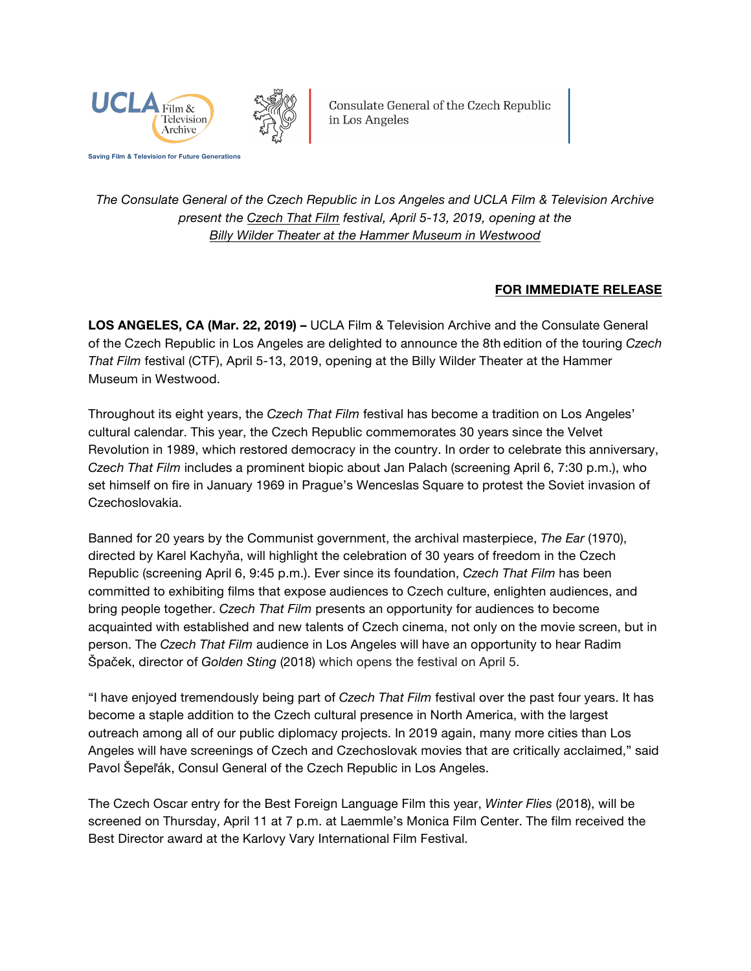

Consulate General of the Czech Republic in Los Angeles

*The Consulate General of the Czech Republic in Los Angeles and UCLA Film & Television Archive present the [Czech That Film](https://www.cinema.ucla.edu/events/2019/czech-that-film) festival, April 5-13, 2019, opening at the [Billy Wilder Theater at the Hammer Museum in Westwood](https://www.cinema.ucla.edu/billy-wilder-theater)*

## **FOR IMMEDIATE RELEASE**

**LOS ANGELES, CA (Mar. 22, 2019) –** UCLA Film & Television Archive and the Consulate General of the Czech Republic in Los Angeles are delighted to announce the 8th edition of the touring *Czech That Film* festival (CTF), April 5-13, 2019, opening at the Billy Wilder Theater at the Hammer Museum in Westwood.

Throughout its eight years, the *Czech That Film* festival has become a tradition on Los Angeles' cultural calendar. This year, the Czech Republic commemorates 30 years since the Velvet Revolution in 1989, which restored democracy in the country. In order to celebrate this anniversary, *Czech That Film* includes a prominent biopic about Jan Palach (screening April 6, 7:30 p.m.), who set himself on fire in January 1969 in Prague's Wenceslas Square to protest the Soviet invasion of Czechoslovakia.

Banned for 20 years by the Communist government, the archival masterpiece, *The Ear* (1970), directed by Karel Kachyňa, will highlight the celebration of 30 years of freedom in the Czech Republic (screening April 6, 9:45 p.m.). Ever since its foundation, *Czech That Film* has been committed to exhibiting films that expose audiences to Czech culture, enlighten audiences, and bring people together. *Czech That Film* presents an opportunity for audiences to become acquainted with established and new talents of Czech cinema, not only on the movie screen, but in person. The *Czech That Film* audience in Los Angeles will have an opportunity to hear Radim Špaček, director of *Golden Sting* (2018) which opens the festival on April 5.

"I have enjoyed tremendously being part of *Czech That Film* festival over the past four years. It has become a staple addition to the Czech cultural presence in North America, with the largest outreach among all of our public diplomacy projects. In 2019 again, many more cities than Los Angeles will have screenings of Czech and Czechoslovak movies that are critically acclaimed," said Pavol Šepeľák, Consul General of the Czech Republic in Los Angeles.

The Czech Oscar entry for the Best Foreign Language Film this year, *Winter Flies* (2018), will be screened on Thursday, April 11 at 7 p.m. at Laemmle's Monica Film Center. The film received the Best Director award at the Karlovy Vary International Film Festival.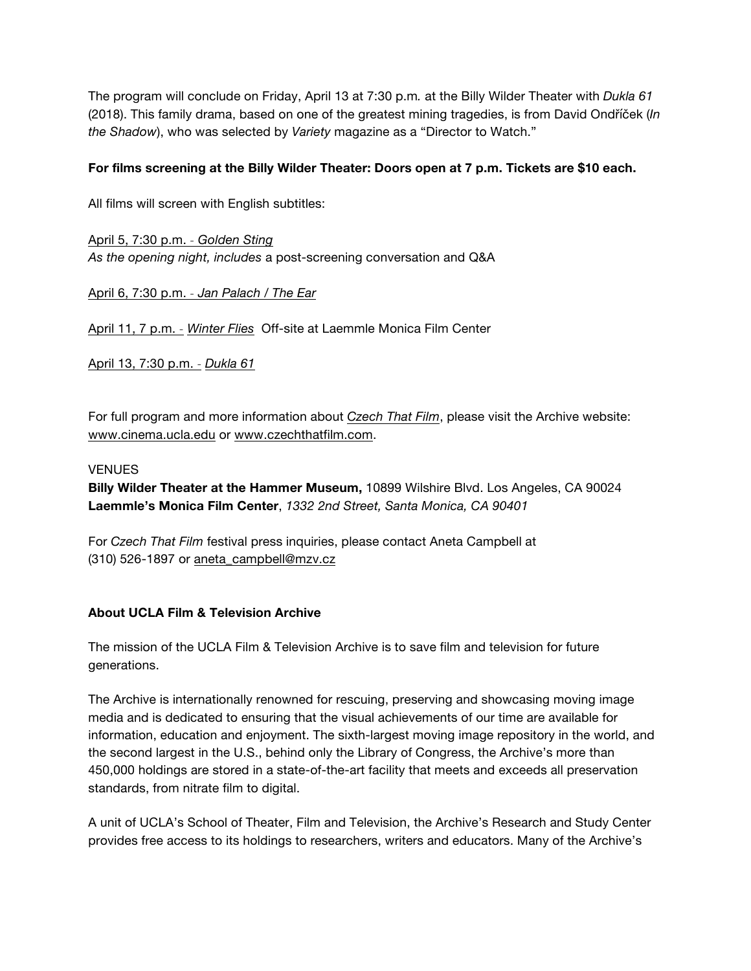The program will conclude on Friday, April 13 at 7:30 p.m*.* at the Billy Wilder Theater with *Dukla 61* (2018). This family drama, based on one of the greatest mining tragedies, is from David Ondříček (*In the Shadow*), who was selected by *Variety* magazine as a "Director to Watch."

## **For films screening at the Billy Wilder Theater: Doors open at 7 p.m. Tickets are \$10 each.**

All films will screen with English subtitles:

[April 5, 7:30 p.m.](https://www.cinema.ucla.edu/events/2019/04/05/golden-sting) *˗ Golden Sting As the opening night, includes* a post-screening conversation and Q&A

[April 6, 7:30 p.m.](https://www.cinema.ucla.edu/events/2019/04/06/jan-palach-the-ear) *˗ Jan Palach / The Ear*

[April 11, 7 p.m.](https://www.cinema.ucla.edu/events/2019/04/11/winter-files) *˗ Winter Flies* Off-site at Laemmle Monica Film Center

[April 13, 7:30 p.m.](https://www.cinema.ucla.edu/events/2019/04/13/dukla-61) *˗ Dukla 61*

For full program and more information about *[Czech That Film](https://www.cinema.ucla.edu/events/2019/czech-that-film)*, please visit the Archive website: [www.cinema.ucla.edu](https://www.cinema.ucla.edu/) or [www.czechthatfilm.com.](http://www.czechthatfilm.com/)

## **VENUES**

**Billy Wilder Theater at the Hammer Museum,** 10899 Wilshire Blvd. Los Angeles, CA 90024 **Laemmle's Monica Film Center**, *1332 2nd Street, Santa Monica, CA 90401*

For *Czech That Film* festival press inquiries, please contact Aneta Campbell at (310) 526-1897 or aneta\_campbell@mzv.cz

## **About UCLA Film & Television Archive**

The mission of the UCLA Film & Television Archive is to save film and television for future generations.

The Archive is internationally renowned for rescuing, preserving and showcasing moving image media and is dedicated to ensuring that the visual achievements of our time are available for information, education and enjoyment. The sixth-largest moving image repository in the world, and the second largest in the U.S., behind only the Library of Congress, the Archive's more than 450,000 holdings are stored in a state-of-the-art facility that meets and exceeds all preservation standards, from nitrate film to digital.

A unit of UCLA's School of Theater, Film and Television, the Archive's Research and Study Center provides free access to its holdings to researchers, writers and educators. Many of the Archive's